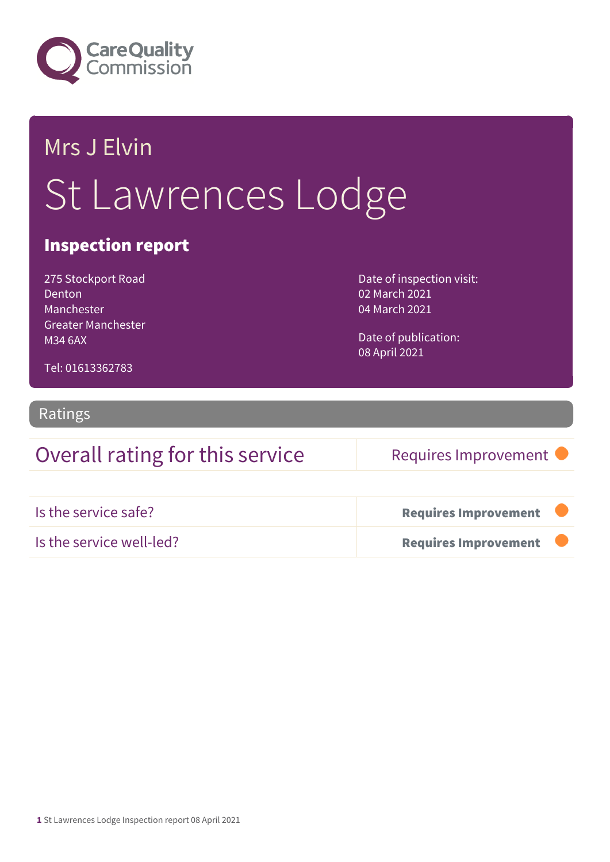

# Mrs J Elvin St Lawrences Lodge

### Inspection report

275 Stockport Road Denton Manchester Greater Manchester M34 6AX

Date of inspection visit: 02 March 2021 04 March 2021

Date of publication: 08 April 2021

Tel: 01613362783

### Ratings

### Overall rating for this service Requires Improvement

| Is the service safe?     | <b>Requires Improvement</b> |  |
|--------------------------|-----------------------------|--|
| Is the service well-led? | <b>Requires Improvement</b> |  |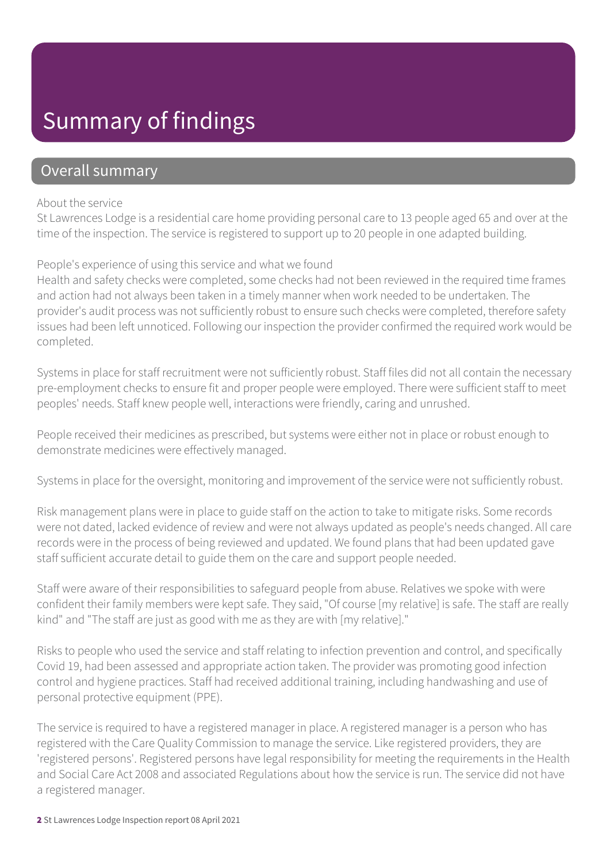## Summary of findings

### Overall summary

#### About the service

St Lawrences Lodge is a residential care home providing personal care to 13 people aged 65 and over at the time of the inspection. The service is registered to support up to 20 people in one adapted building.

#### People's experience of using this service and what we found

Health and safety checks were completed, some checks had not been reviewed in the required time frames and action had not always been taken in a timely manner when work needed to be undertaken. The provider's audit process was not sufficiently robust to ensure such checks were completed, therefore safety issues had been left unnoticed. Following our inspection the provider confirmed the required work would be completed.

Systems in place for staff recruitment were not sufficiently robust. Staff files did not all contain the necessary pre-employment checks to ensure fit and proper people were employed. There were sufficient staff to meet peoples' needs. Staff knew people well, interactions were friendly, caring and unrushed.

People received their medicines as prescribed, but systems were either not in place or robust enough to demonstrate medicines were effectively managed.

Systems in place for the oversight, monitoring and improvement of the service were not sufficiently robust.

Risk management plans were in place to guide staff on the action to take to mitigate risks. Some records were not dated, lacked evidence of review and were not always updated as people's needs changed. All care records were in the process of being reviewed and updated. We found plans that had been updated gave staff sufficient accurate detail to guide them on the care and support people needed.

Staff were aware of their responsibilities to safeguard people from abuse. Relatives we spoke with were confident their family members were kept safe. They said, "Of course [my relative] is safe. The staff are really kind" and "The staff are just as good with me as they are with [my relative]."

Risks to people who used the service and staff relating to infection prevention and control, and specifically Covid 19, had been assessed and appropriate action taken. The provider was promoting good infection control and hygiene practices. Staff had received additional training, including handwashing and use of personal protective equipment (PPE).

The service is required to have a registered manager in place. A registered manager is a person who has registered with the Care Quality Commission to manage the service. Like registered providers, they are 'registered persons'. Registered persons have legal responsibility for meeting the requirements in the Health and Social Care Act 2008 and associated Regulations about how the service is run. The service did not have a registered manager.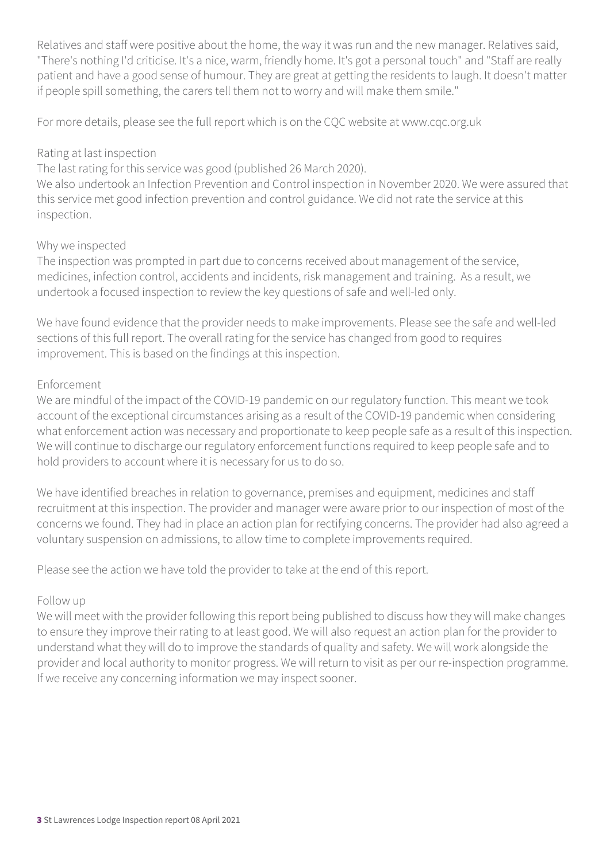Relatives and staff were positive about the home, the way it was run and the new manager. Relatives said, "There's nothing I'd criticise. It's a nice, warm, friendly home. It's got a personal touch" and "Staff are really patient and have a good sense of humour. They are great at getting the residents to laugh. It doesn't matter if people spill something, the carers tell them not to worry and will make them smile."

For more details, please see the full report which is on the CQC website at www.cqc.org.uk

#### Rating at last inspection

The last rating for this service was good (published 26 March 2020).

We also undertook an Infection Prevention and Control inspection in November 2020. We were assured that this service met good infection prevention and control guidance. We did not rate the service at this inspection.

#### Why we inspected

The inspection was prompted in part due to concerns received about management of the service, medicines, infection control, accidents and incidents, risk management and training. As a result, we undertook a focused inspection to review the key questions of safe and well-led only.

We have found evidence that the provider needs to make improvements. Please see the safe and well-led sections of this full report. The overall rating for the service has changed from good to requires improvement. This is based on the findings at this inspection.

#### Enforcement

We are mindful of the impact of the COVID-19 pandemic on our regulatory function. This meant we took account of the exceptional circumstances arising as a result of the COVID-19 pandemic when considering what enforcement action was necessary and proportionate to keep people safe as a result of this inspection. We will continue to discharge our regulatory enforcement functions required to keep people safe and to hold providers to account where it is necessary for us to do so.

We have identified breaches in relation to governance, premises and equipment, medicines and staff recruitment at this inspection. The provider and manager were aware prior to our inspection of most of the concerns we found. They had in place an action plan for rectifying concerns. The provider had also agreed a voluntary suspension on admissions, to allow time to complete improvements required.

Please see the action we have told the provider to take at the end of this report.

#### Follow up

We will meet with the provider following this report being published to discuss how they will make changes to ensure they improve their rating to at least good. We will also request an action plan for the provider to understand what they will do to improve the standards of quality and safety. We will work alongside the provider and local authority to monitor progress. We will return to visit as per our re-inspection programme. If we receive any concerning information we may inspect sooner.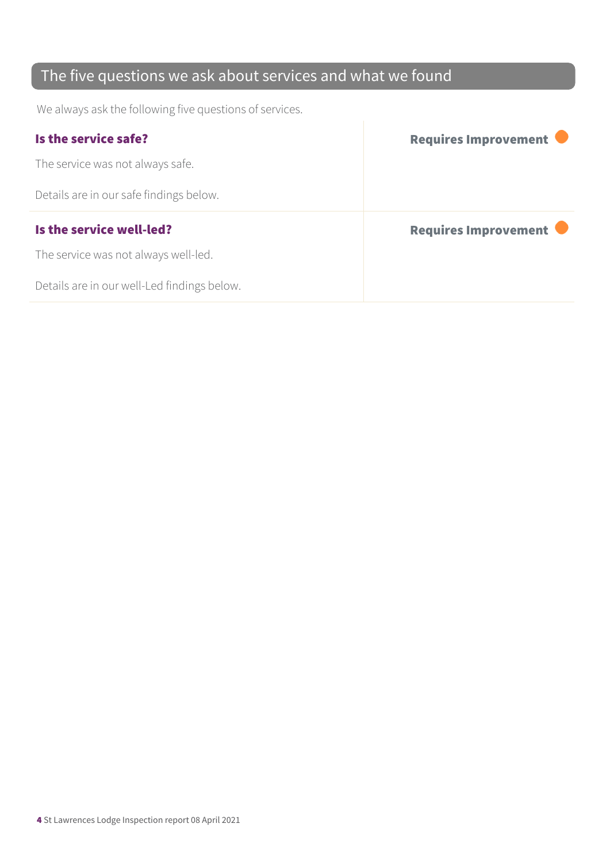### The five questions we ask about services and what we found

We always ask the following five questions of services.

| Is the service safe?                    | Requires Improvement |
|-----------------------------------------|----------------------|
| The service was not always safe.        |                      |
| Details are in our safe findings below. |                      |
|                                         |                      |
| Is the service well-led?                | Requires Improvement |
| The service was not always well-led.    |                      |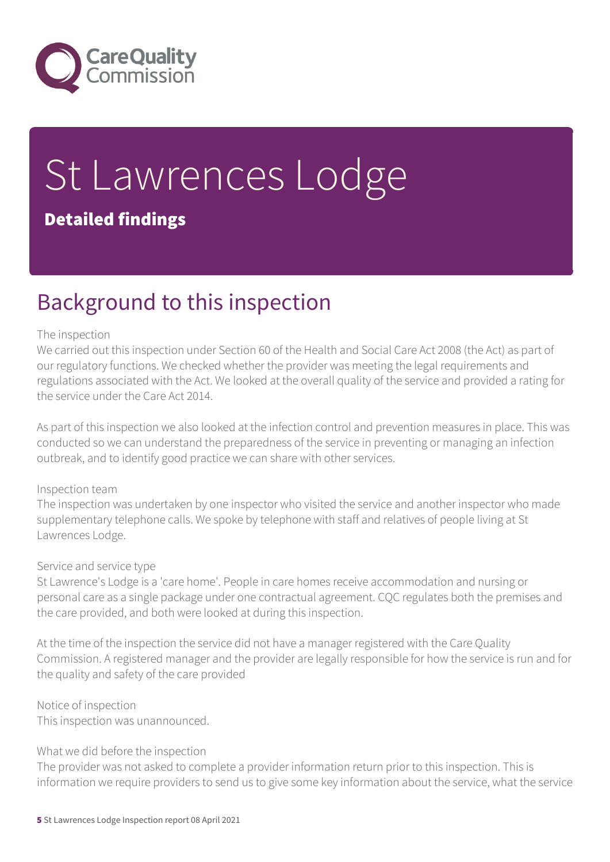

# St Lawrences Lodge Detailed findings

## Background to this inspection

#### The inspection

We carried out this inspection under Section 60 of the Health and Social Care Act 2008 (the Act) as part of our regulatory functions. We checked whether the provider was meeting the legal requirements and regulations associated with the Act. We looked at the overall quality of the service and provided a rating for the service under the Care Act 2014.

As part of this inspection we also looked at the infection control and prevention measures in place. This was conducted so we can understand the preparedness of the service in preventing or managing an infection outbreak, and to identify good practice we can share with other services.

#### Inspection team

The inspection was undertaken by one inspector who visited the service and another inspector who made supplementary telephone calls. We spoke by telephone with staff and relatives of people living at St Lawrences Lodge.

#### Service and service type

St Lawrence's Lodge is a 'care home'. People in care homes receive accommodation and nursing or personal care as a single package under one contractual agreement. CQC regulates both the premises and the care provided, and both were looked at during this inspection.

At the time of the inspection the service did not have a manager registered with the Care Quality Commission. A registered manager and the provider are legally responsible for how the service is run and for the quality and safety of the care provided

Notice of inspection This inspection was unannounced.

#### What we did before the inspection

The provider was not asked to complete a provider information return prior to this inspection. This is information we require providers to send us to give some key information about the service, what the service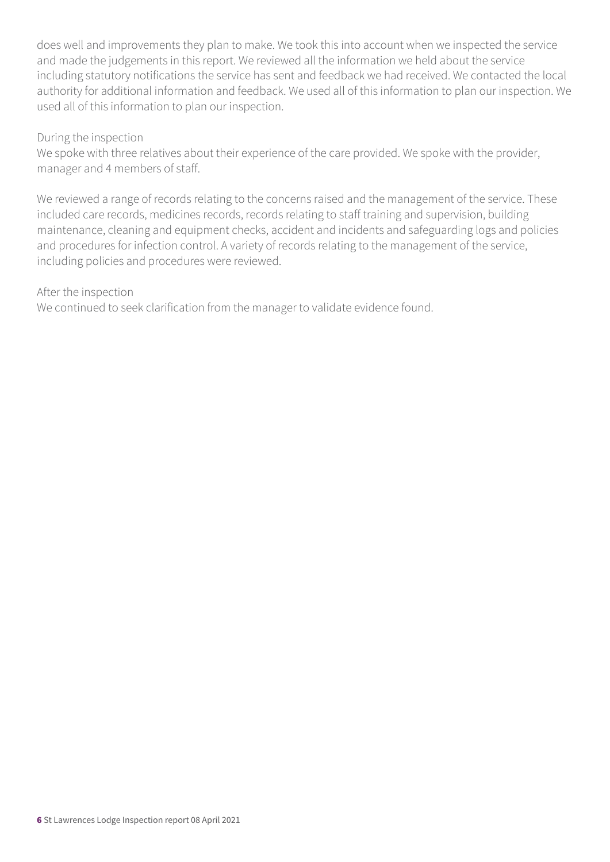does well and improvements they plan to make. We took this into account when we inspected the service and made the judgements in this report. We reviewed all the information we held about the service including statutory notifications the service has sent and feedback we had received. We contacted the local authority for additional information and feedback. We used all of this information to plan our inspection. We used all of this information to plan our inspection.

#### During the inspection

We spoke with three relatives about their experience of the care provided. We spoke with the provider, manager and 4 members of staff.

We reviewed a range of records relating to the concerns raised and the management of the service. These included care records, medicines records, records relating to staff training and supervision, building maintenance, cleaning and equipment checks, accident and incidents and safeguarding logs and policies and procedures for infection control. A variety of records relating to the management of the service, including policies and procedures were reviewed.

#### After the inspection

We continued to seek clarification from the manager to validate evidence found.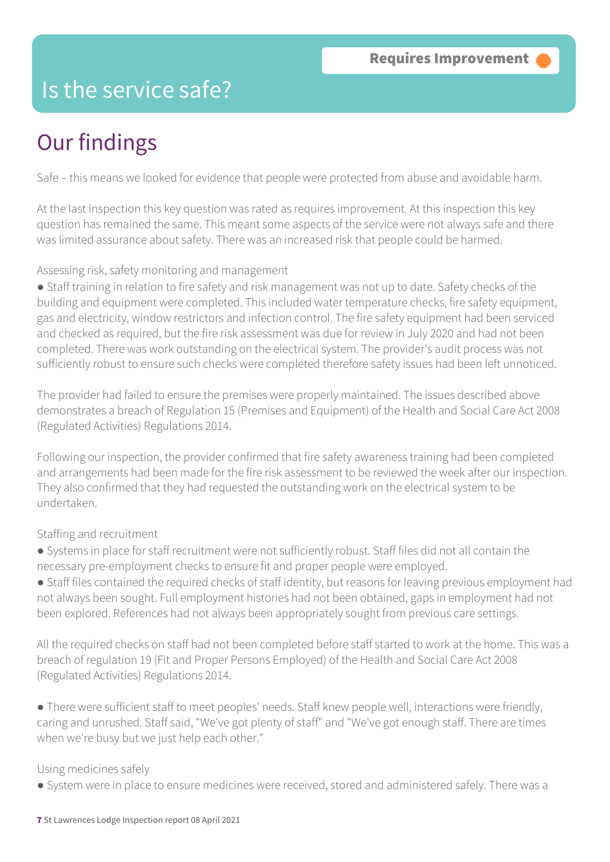### Is the service safe?

# Our findings

Safe – this means we looked for evidence that people were protected from abuse and avoidable harm.

At the last inspection this key question was rated as requires improvement. At this inspection this key question has remained the same. This meant some aspects of the service were not always safe and there was limited assurance about safety. There was an increased risk that people could be harmed.

#### Assessing risk, safety monitoring and management

● Staff training in relation to fire safety and risk management was not up to date. Safety checks of the building and equipment were completed. This included water temperature checks, fire safety equipment, gas and electricity, window restrictors and infection control. The fire safety equipment had been serviced and checked as required, but the fire risk assessment was due for review in July 2020 and had not been completed. There was work outstanding on the electrical system. The provider's audit process was not sufficiently robust to ensure such checks were completed therefore safety issues had been left unnoticed.

The provider had failed to ensure the premises were properly maintained. The issues described above demonstrates a breach of Regulation 15 (Premises and Equipment) of the Health and Social Care Act 2008 (Regulated Activities) Regulations 2014.

Following our inspection, the provider confirmed that fire safety awareness training had been completed and arrangements had been made for the fire risk assessment to be reviewed the week after our inspection. They also confirmed that they had requested the outstanding work on the electrical system to be undertaken.

#### Staffing and recruitment

● Systems in place for staff recruitment were not sufficiently robust. Staff files did not all contain the necessary pre-employment checks to ensure fit and proper people were employed.

● Staff files contained the required checks of staff identity, but reasons for leaving previous employment had not always been sought. Full employment histories had not been obtained, gaps in employment had not been explored. References had not always been appropriately sought from previous care settings.

All the required checks on staff had not been completed before staff started to work at the home. This was a breach of regulation 19 (Fit and Proper Persons Employed) of the Health and Social Care Act 2008 (Regulated Activities) Regulations 2014.

● There were sufficient staff to meet peoples' needs. Staff knew people well, interactions were friendly, caring and unrushed. Staff said, "We've got plenty of staff" and "We've got enough staff. There are times when we're busy but we just help each other."

#### Using medicines safely

● System were in place to ensure medicines were received, stored and administered safely. There was a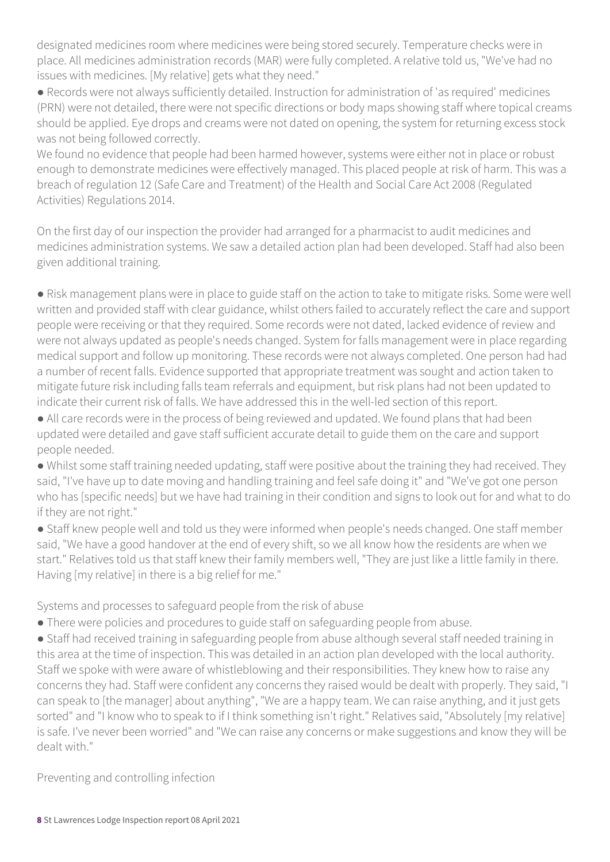designated medicines room where medicines were being stored securely. Temperature checks were in place. All medicines administration records (MAR) were fully completed. A relative told us, "We've had no issues with medicines. [My relative] gets what they need."

● Records were not always sufficiently detailed. Instruction for administration of 'as required' medicines (PRN) were not detailed, there were not specific directions or body maps showing staff where topical creams should be applied. Eye drops and creams were not dated on opening, the system for returning excess stock was not being followed correctly.

We found no evidence that people had been harmed however, systems were either not in place or robust enough to demonstrate medicines were effectively managed. This placed people at risk of harm. This was a breach of regulation 12 (Safe Care and Treatment) of the Health and Social Care Act 2008 (Regulated Activities) Regulations 2014.

On the first day of our inspection the provider had arranged for a pharmacist to audit medicines and medicines administration systems. We saw a detailed action plan had been developed. Staff had also been given additional training.

● Risk management plans were in place to guide staff on the action to take to mitigate risks. Some were well written and provided staff with clear guidance, whilst others failed to accurately reflect the care and support people were receiving or that they required. Some records were not dated, lacked evidence of review and were not always updated as people's needs changed. System for falls management were in place regarding medical support and follow up monitoring. These records were not always completed. One person had had a number of recent falls. Evidence supported that appropriate treatment was sought and action taken to mitigate future risk including falls team referrals and equipment, but risk plans had not been updated to indicate their current risk of falls. We have addressed this in the well-led section of this report.

● All care records were in the process of being reviewed and updated. We found plans that had been updated were detailed and gave staff sufficient accurate detail to guide them on the care and support people needed.

● Whilst some staff training needed updating, staff were positive about the training they had received. They said, "I've have up to date moving and handling training and feel safe doing it" and "We've got one person who has [specific needs] but we have had training in their condition and signs to look out for and what to do if they are not right."

● Staff knew people well and told us they were informed when people's needs changed. One staff member said, "We have a good handover at the end of every shift, so we all know how the residents are when we start." Relatives told us that staff knew their family members well, "They are just like a little family in there. Having [my relative] in there is a big relief for me."

Systems and processes to safeguard people from the risk of abuse

• There were policies and procedures to guide staff on safeguarding people from abuse.

● Staff had received training in safeguarding people from abuse although several staff needed training in this area at the time of inspection. This was detailed in an action plan developed with the local authority. Staff we spoke with were aware of whistleblowing and their responsibilities. They knew how to raise any concerns they had. Staff were confident any concerns they raised would be dealt with properly. They said, "I can speak to [the manager] about anything", "We are a happy team. We can raise anything, and it just gets sorted" and "I know who to speak to if I think something isn't right." Relatives said, "Absolutely [my relative] is safe. I've never been worried" and "We can raise any concerns or make suggestions and know they will be dealt with."

Preventing and controlling infection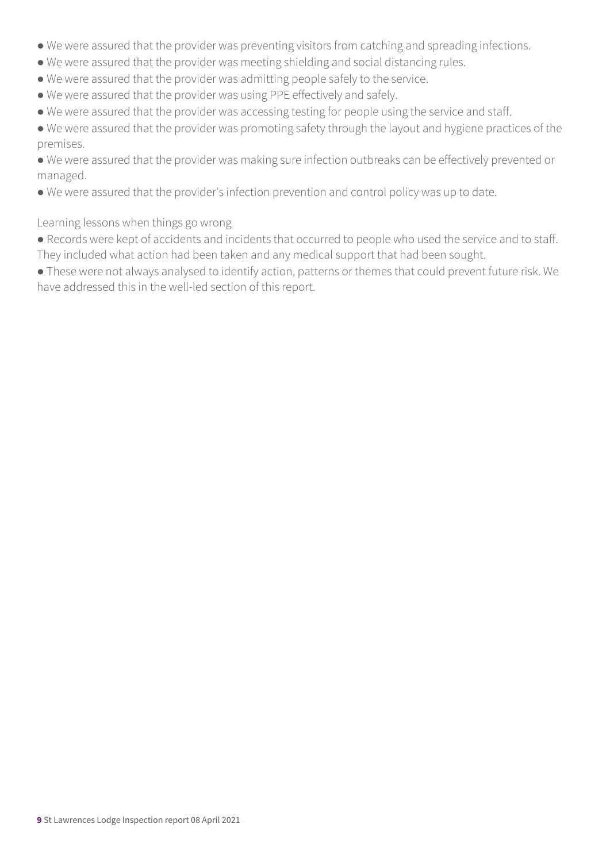- We were assured that the provider was preventing visitors from catching and spreading infections.
- We were assured that the provider was meeting shielding and social distancing rules.
- We were assured that the provider was admitting people safely to the service.
- We were assured that the provider was using PPE effectively and safely.
- We were assured that the provider was accessing testing for people using the service and staff.

● We were assured that the provider was promoting safety through the layout and hygiene practices of the premises.

● We were assured that the provider was making sure infection outbreaks can be effectively prevented or managed.

● We were assured that the provider's infection prevention and control policy was up to date.

#### Learning lessons when things go wrong

● Records were kept of accidents and incidents that occurred to people who used the service and to staff. They included what action had been taken and any medical support that had been sought.

● These were not always analysed to identify action, patterns or themes that could prevent future risk. We have addressed this in the well-led section of this report.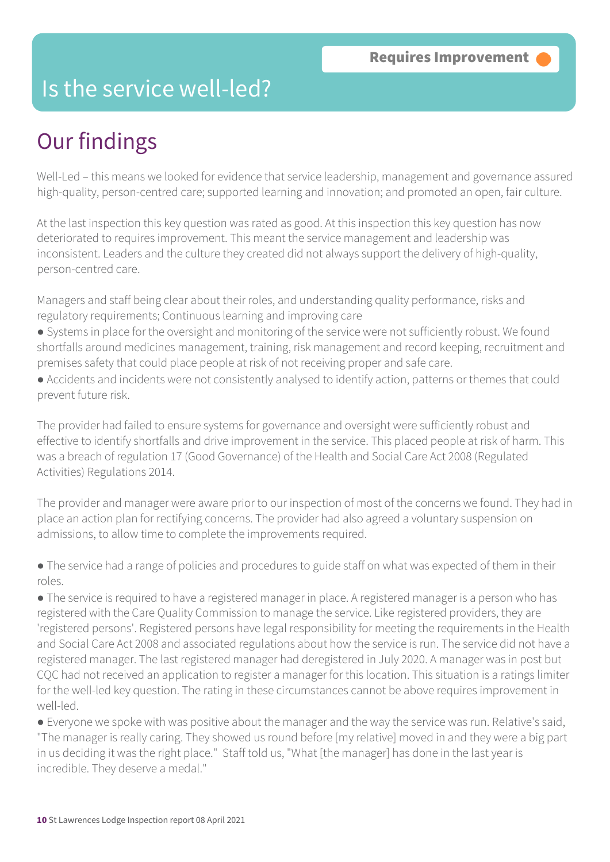### Is the service well-led?

## Our findings

Well-Led – this means we looked for evidence that service leadership, management and governance assured high-quality, person-centred care; supported learning and innovation; and promoted an open, fair culture.

At the last inspection this key question was rated as good. At this inspection this key question has now deteriorated to requires improvement. This meant the service management and leadership was inconsistent. Leaders and the culture they created did not always support the delivery of high-quality, person-centred care.

Managers and staff being clear about their roles, and understanding quality performance, risks and regulatory requirements; Continuous learning and improving care

- Systems in place for the oversight and monitoring of the service were not sufficiently robust. We found shortfalls around medicines management, training, risk management and record keeping, recruitment and premises safety that could place people at risk of not receiving proper and safe care.
- Accidents and incidents were not consistently analysed to identify action, patterns or themes that could prevent future risk.

The provider had failed to ensure systems for governance and oversight were sufficiently robust and effective to identify shortfalls and drive improvement in the service. This placed people at risk of harm. This was a breach of regulation 17 (Good Governance) of the Health and Social Care Act 2008 (Regulated Activities) Regulations 2014.

The provider and manager were aware prior to our inspection of most of the concerns we found. They had in place an action plan for rectifying concerns. The provider had also agreed a voluntary suspension on admissions, to allow time to complete the improvements required.

• The service had a range of policies and procedures to guide staff on what was expected of them in their roles.

● The service is required to have a registered manager in place. A registered manager is a person who has registered with the Care Quality Commission to manage the service. Like registered providers, they are 'registered persons'. Registered persons have legal responsibility for meeting the requirements in the Health and Social Care Act 2008 and associated regulations about how the service is run. The service did not have a registered manager. The last registered manager had deregistered in July 2020. A manager was in post but CQC had not received an application to register a manager for this location. This situation is a ratings limiter for the well-led key question. The rating in these circumstances cannot be above requires improvement in well-led.

● Everyone we spoke with was positive about the manager and the way the service was run. Relative's said, "The manager is really caring. They showed us round before [my relative] moved in and they were a big part in us deciding it was the right place." Staff told us, "What [the manager] has done in the last year is incredible. They deserve a medal."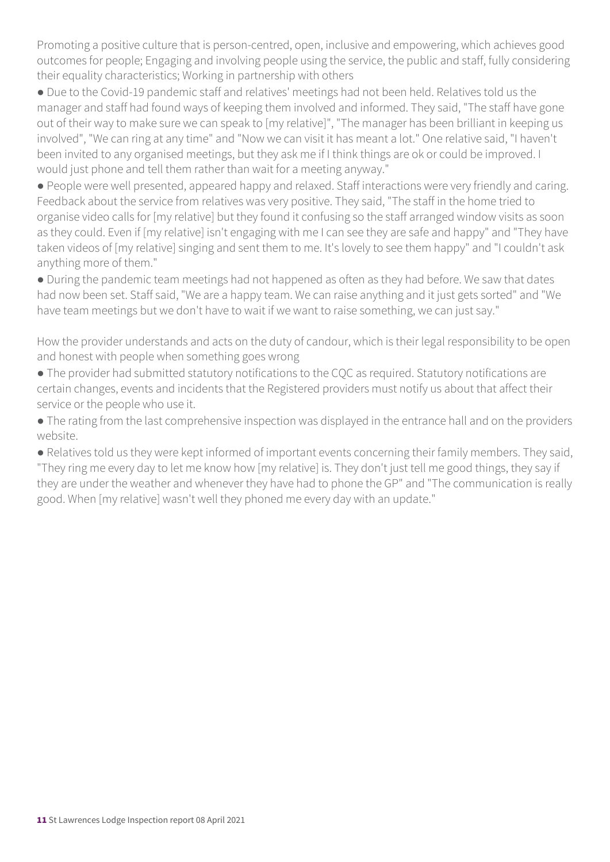Promoting a positive culture that is person-centred, open, inclusive and empowering, which achieves good outcomes for people; Engaging and involving people using the service, the public and staff, fully considering their equality characteristics; Working in partnership with others

● Due to the Covid-19 pandemic staff and relatives' meetings had not been held. Relatives told us the manager and staff had found ways of keeping them involved and informed. They said, "The staff have gone out of their way to make sure we can speak to [my relative]", "The manager has been brilliant in keeping us involved", "We can ring at any time" and "Now we can visit it has meant a lot." One relative said, "I haven't been invited to any organised meetings, but they ask me if I think things are ok or could be improved. I would just phone and tell them rather than wait for a meeting anyway."

● People were well presented, appeared happy and relaxed. Staff interactions were very friendly and caring. Feedback about the service from relatives was very positive. They said, "The staff in the home tried to organise video calls for [my relative] but they found it confusing so the staff arranged window visits as soon as they could. Even if [my relative] isn't engaging with me I can see they are safe and happy" and "They have taken videos of [my relative] singing and sent them to me. It's lovely to see them happy" and "I couldn't ask anything more of them."

● During the pandemic team meetings had not happened as often as they had before. We saw that dates had now been set. Staff said, "We are a happy team. We can raise anything and it just gets sorted" and "We have team meetings but we don't have to wait if we want to raise something, we can just say."

How the provider understands and acts on the duty of candour, which is their legal responsibility to be open and honest with people when something goes wrong

● The provider had submitted statutory notifications to the CQC as required. Statutory notifications are certain changes, events and incidents that the Registered providers must notify us about that affect their service or the people who use it.

● The rating from the last comprehensive inspection was displayed in the entrance hall and on the providers website.

● Relatives told us they were kept informed of important events concerning their family members. They said, "They ring me every day to let me know how [my relative] is. They don't just tell me good things, they say if they are under the weather and whenever they have had to phone the GP" and "The communication is really good. When [my relative] wasn't well they phoned me every day with an update."